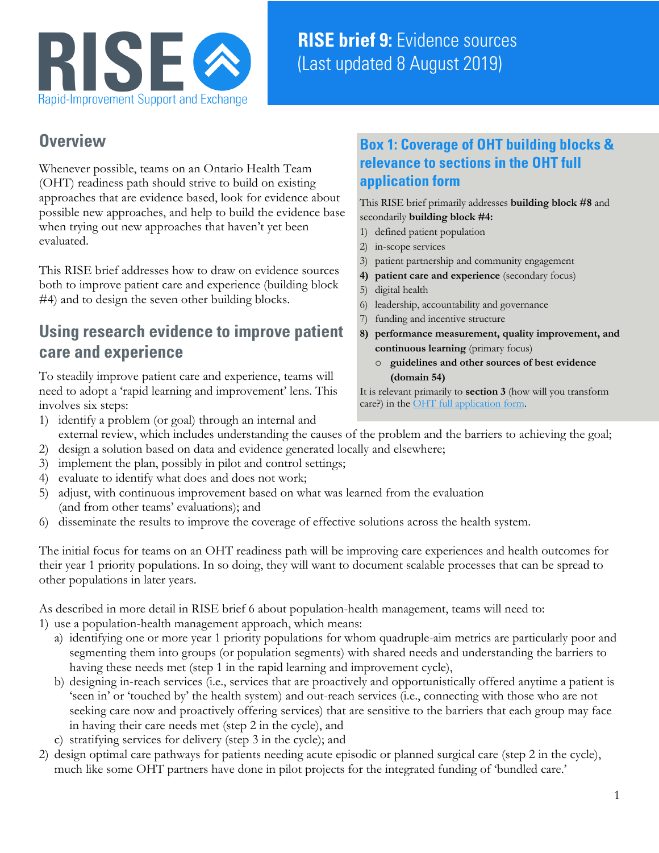

# **RISE brief 9:** Evidence sources (Last updated 8 August 2019)

### **Overview**

Whenever possible, teams on an Ontario Health Team (OHT) readiness path should strive to build on existing approaches that are evidence based, look for evidence about possible new approaches, and help to build the evidence base when trying out new approaches that haven't yet been evaluated.

This RISE brief addresses how to draw on evidence sources both to improve patient care and experience (building block #4) and to design the seven other building blocks.

## **Using research evidence to improve patient care and experience**

To steadily improve patient care and experience, teams will need to adopt a 'rapid learning and improvement' lens. This involves six steps:

### **Box 1: Coverage of OHT building blocks & relevance to sections in the OHT full application form**

This RISE brief primarily addresses **building block #8** and secondarily **building block #4:**

- 1) defined patient population
- 2) in-scope services
- 3) patient partnership and community engagement
- **4) patient care and experience** (secondary focus)
- 5) digital health
- 6) leadership, accountability and governance
- 7) funding and incentive structure
- **8) performance measurement, quality improvement, and continuous learning** (primary focus)
	- o **guidelines and other sources of best evidence (domain 54)**

It is relevant primarily to **section 3** (how will you transform care?) in the [OHT full application form.](http://health.gov.on.ca/en/pro/programs/connectedcare/oht/docs/OHT_Full_Application_EN.pdf)

- 1) identify a problem (or goal) through an internal and external review, which includes understanding the causes of the problem and the barriers to achieving the goal;
- 2) design a solution based on data and evidence generated locally and elsewhere;
- 3) implement the plan, possibly in pilot and control settings;
- 4) evaluate to identify what does and does not work;
- 5) adjust, with continuous improvement based on what was learned from the evaluation (and from other teams' evaluations); and
- 6) disseminate the results to improve the coverage of effective solutions across the health system.

The initial focus for teams on an OHT readiness path will be improving care experiences and health outcomes for their year 1 priority populations. In so doing, they will want to document scalable processes that can be spread to other populations in later years.

As described in more detail in RISE brief 6 about population-health management, teams will need to:

- 1) use a population-health management approach, which means:
	- a) identifying one or more year 1 priority populations for whom quadruple-aim metrics are particularly poor and segmenting them into groups (or population segments) with shared needs and understanding the barriers to having these needs met (step 1 in the rapid learning and improvement cycle),
	- b) designing in-reach services (i.e., services that are proactively and opportunistically offered anytime a patient is 'seen in' or 'touched by' the health system) and out-reach services (i.e., connecting with those who are not seeking care now and proactively offering services) that are sensitive to the barriers that each group may face in having their care needs met (step 2 in the cycle), and
	- c) stratifying services for delivery (step 3 in the cycle); and
- 2) design optimal care pathways for patients needing acute episodic or planned surgical care (step 2 in the cycle), much like some OHT partners have done in pilot projects for the integrated funding of 'bundled care.'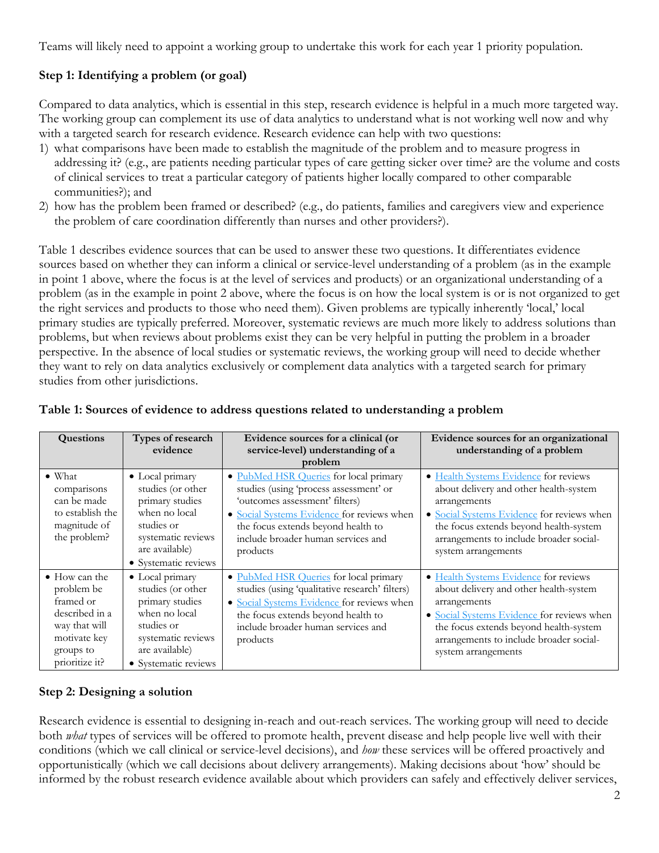Teams will likely need to appoint a working group to undertake this work for each year 1 priority population.

#### **Step 1: Identifying a problem (or goal)**

Compared to data analytics, which is essential in this step, research evidence is helpful in a much more targeted way. The working group can complement its use of data analytics to understand what is not working well now and why with a targeted search for research evidence. Research evidence can help with two questions:

- 1) what comparisons have been made to establish the magnitude of the problem and to measure progress in addressing it? (e.g., are patients needing particular types of care getting sicker over time? are the volume and costs of clinical services to treat a particular category of patients higher locally compared to other comparable communities?); and
- 2) how has the problem been framed or described? (e.g., do patients, families and caregivers view and experience the problem of care coordination differently than nurses and other providers?).

Table 1 describes evidence sources that can be used to answer these two questions. It differentiates evidence sources based on whether they can inform a clinical or service-level understanding of a problem (as in the example in point 1 above, where the focus is at the level of services and products) or an organizational understanding of a problem (as in the example in point 2 above, where the focus is on how the local system is or is not organized to get the right services and products to those who need them). Given problems are typically inherently 'local,' local primary studies are typically preferred. Moreover, systematic reviews are much more likely to address solutions than problems, but when reviews about problems exist they can be very helpful in putting the problem in a broader perspective. In the absence of local studies or systematic reviews, the working group will need to decide whether they want to rely on data analytics exclusively or complement data analytics with a targeted search for primary studies from other jurisdictions.

| <b>Questions</b>                                                                                                                   | Types of research<br>evidence                                                                                                                          | Evidence sources for a clinical (or<br>service-level) understanding of a<br>problem                                                                                                                                                                      | Evidence sources for an organizational<br>understanding of a problem                                                                                                                                                                                      |
|------------------------------------------------------------------------------------------------------------------------------------|--------------------------------------------------------------------------------------------------------------------------------------------------------|----------------------------------------------------------------------------------------------------------------------------------------------------------------------------------------------------------------------------------------------------------|-----------------------------------------------------------------------------------------------------------------------------------------------------------------------------------------------------------------------------------------------------------|
| $\bullet$ What<br>comparisons<br>can be made<br>to establish the<br>magnitude of<br>the problem?                                   | • Local primary<br>studies (or other<br>primary studies<br>when no local<br>studies or<br>systematic reviews<br>are available)<br>• Systematic reviews | · PubMed HSR Queries for local primary<br>studies (using 'process assessment' or<br>'outcomes assessment' filters)<br>• Social Systems Evidence for reviews when<br>the focus extends beyond health to<br>include broader human services and<br>products | • Health Systems Evidence for reviews<br>about delivery and other health-system<br>arrangements<br>• Social Systems Evidence for reviews when<br>the focus extends beyond health-system<br>arrangements to include broader social-<br>system arrangements |
| $\bullet$ How can the<br>problem be<br>framed or<br>described in a<br>way that will<br>motivate key<br>groups to<br>prioritize it? | • Local primary<br>studies (or other<br>primary studies<br>when no local<br>studies or<br>systematic reviews<br>are available)<br>• Systematic reviews | • PubMed HSR Queries for local primary<br>studies (using 'qualitative research' filters)<br>• Social Systems Evidence for reviews when<br>the focus extends beyond health to<br>include broader human services and<br>products                           | • Health Systems Evidence for reviews<br>about delivery and other health-system<br>arrangements<br>• Social Systems Evidence for reviews when<br>the focus extends beyond health-system<br>arrangements to include broader social-<br>system arrangements |

#### **Table 1: Sources of evidence to address questions related to understanding a problem**

#### **Step 2: Designing a solution**

Research evidence is essential to designing in-reach and out-reach services. The working group will need to decide both *what* types of services will be offered to promote health, prevent disease and help people live well with their conditions (which we call clinical or service-level decisions), and *how* these services will be offered proactively and opportunistically (which we call decisions about delivery arrangements). Making decisions about 'how' should be informed by the robust research evidence available about which providers can safely and effectively deliver services,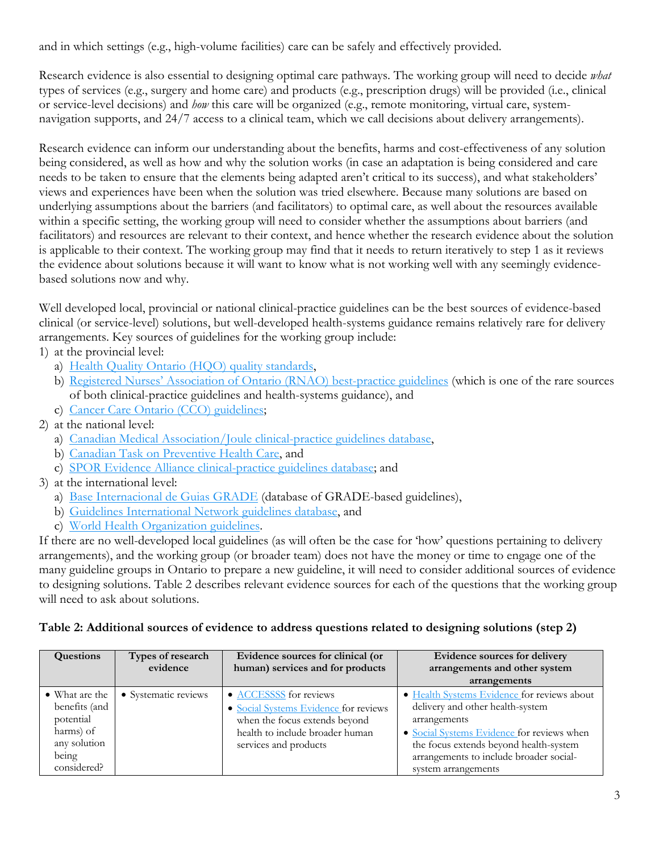and in which settings (e.g., high-volume facilities) care can be safely and effectively provided.

Research evidence is also essential to designing optimal care pathways. The working group will need to decide *what* types of services (e.g., surgery and home care) and products (e.g., prescription drugs) will be provided (i.e., clinical or service-level decisions) and *how* this care will be organized (e.g., remote monitoring, virtual care, systemnavigation supports, and 24/7 access to a clinical team, which we call decisions about delivery arrangements).

Research evidence can inform our understanding about the benefits, harms and cost-effectiveness of any solution being considered, as well as how and why the solution works (in case an adaptation is being considered and care needs to be taken to ensure that the elements being adapted aren't critical to its success), and what stakeholders' views and experiences have been when the solution was tried elsewhere. Because many solutions are based on underlying assumptions about the barriers (and facilitators) to optimal care, as well about the resources available within a specific setting, the working group will need to consider whether the assumptions about barriers (and facilitators) and resources are relevant to their context, and hence whether the research evidence about the solution is applicable to their context. The working group may find that it needs to return iteratively to step 1 as it reviews the evidence about solutions because it will want to know what is not working well with any seemingly evidencebased solutions now and why.

Well developed local, provincial or national clinical-practice guidelines can be the best sources of evidence-based clinical (or service-level) solutions, but well-developed health-systems guidance remains relatively rare for delivery arrangements. Key sources of guidelines for the working group include:

1) at the provincial level:

- a) [Health Quality Ontario \(HQO\)](https://www.hqontario.ca/Evidence-to-Improve-Care/Quality-Standards) quality standards,
- b) [Registered Nurses' Association of Ontario \(RNAO\) best-practice guidelines](https://rnao.ca/bpg/guidelines) (which is one of the rare sources of both clinical-practice guidelines and health-systems guidance), and
- c) [Cancer Care Ontario \(CCO\) guidelines;](https://www.cancercareontario.ca/en/guidelines-advice)
- 2) at the national level:
	- a) [Canadian Medical Association/Joule clinical-practice guidelines database,](https://joulecma.ca/cpg/homepage)
	- b) [Canadian Task on Preventive Health Care,](https://canadiantaskforce.ca/) and
	- c) [SPOR Evidence Alliance clinical-practice guidelines database;](https://sporevidencealliance.ca/cpg-database/) and
- 3) at the international level:
	- a) [Base Internacional de Guias GRADE](http://sites.bvsalud.org/bigg/biblio/) (database of GRADE-based guidelines),
	- b) [Guidelines International Network guidelines database,](https://www.g-i-n.net/library/international-guidelines-library) and
	- c) [World Health Organization guidelines.](https://www.who.int/publications/guidelines/en/)

If there are no well-developed local guidelines (as will often be the case for 'how' questions pertaining to delivery arrangements), and the working group (or broader team) does not have the money or time to engage one of the many guideline groups in Ontario to prepare a new guideline, it will need to consider additional sources of evidence to designing solutions. Table 2 describes relevant evidence sources for each of the questions that the working group will need to ask about solutions.

| <b>Questions</b>                                                                                  | Types of research<br>evidence | Evidence sources for clinical (or<br>human) services and for products                                                                                        | Evidence sources for delivery<br>arrangements and other system<br>arrangements                                                                                                                                                                            |
|---------------------------------------------------------------------------------------------------|-------------------------------|--------------------------------------------------------------------------------------------------------------------------------------------------------------|-----------------------------------------------------------------------------------------------------------------------------------------------------------------------------------------------------------------------------------------------------------|
| • What are the<br>benefits (and<br>potential<br>harms) of<br>any solution<br>being<br>considered? | • Systematic reviews          | • ACCESSSS for reviews<br>• Social Systems Evidence for reviews<br>when the focus extends beyond<br>health to include broader human<br>services and products | • Health Systems Evidence for reviews about<br>delivery and other health-system<br>arrangements<br>• Social Systems Evidence for reviews when<br>the focus extends beyond health-system<br>arrangements to include broader social-<br>system arrangements |

#### **Table 2: Additional sources of evidence to address questions related to designing solutions (step 2)**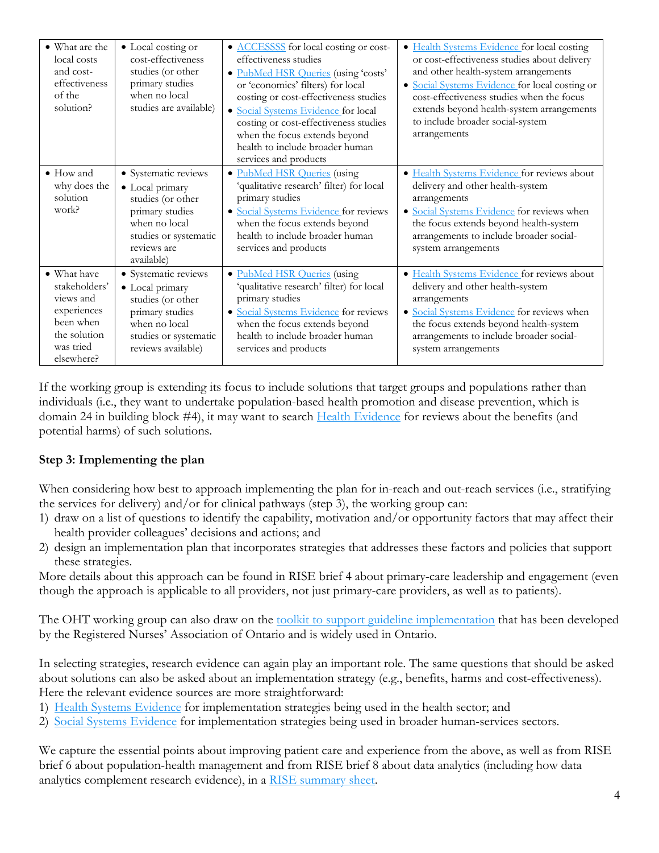| • What are the<br>local costs<br>and cost-<br>effectiveness<br>of the<br>solution?                               | • Local costing or<br>cost-effectiveness<br>studies (or other<br>primary studies<br>when no local<br>studies are available)                            | • ACCESSSS for local costing or cost-<br>effectiveness studies<br>· PubMed HSR Queries (using 'costs'<br>or 'economics' filters) for local<br>costing or cost-effectiveness studies<br>· Social Systems Evidence for local<br>costing or cost-effectiveness studies<br>when the focus extends beyond<br>health to include broader human<br>services and products | • Health Systems Evidence for local costing<br>or cost-effectiveness studies about delivery<br>and other health-system arrangements<br>· Social Systems Evidence for local costing or<br>cost-effectiveness studies when the focus<br>extends beyond health-system arrangements<br>to include broader social-system<br>arrangements |
|------------------------------------------------------------------------------------------------------------------|--------------------------------------------------------------------------------------------------------------------------------------------------------|------------------------------------------------------------------------------------------------------------------------------------------------------------------------------------------------------------------------------------------------------------------------------------------------------------------------------------------------------------------|-------------------------------------------------------------------------------------------------------------------------------------------------------------------------------------------------------------------------------------------------------------------------------------------------------------------------------------|
| $\bullet$ How and<br>why does the<br>solution<br>work?                                                           | • Systematic reviews<br>• Local primary<br>studies (or other<br>primary studies<br>when no local<br>studies or systematic<br>reviews are<br>available) | • PubMed HSR Queries (using<br>'qualitative research' filter) for local<br>primary studies<br>· Social Systems Evidence for reviews<br>when the focus extends beyond<br>health to include broader human<br>services and products                                                                                                                                 | · Health Systems Evidence for reviews about<br>delivery and other health-system<br>arrangements<br>· Social Systems Evidence for reviews when<br>the focus extends beyond health-system<br>arrangements to include broader social-<br>system arrangements                                                                           |
| • What have<br>stakeholders'<br>views and<br>experiences<br>been when<br>the solution<br>was tried<br>elsewhere? | • Systematic reviews<br>• Local primary<br>studies (or other<br>primary studies<br>when no local<br>studies or systematic<br>reviews available)        | <b>PubMed HSR Queries</b> (using<br>$\bullet$<br>'qualitative research' filter) for local<br>primary studies<br>· Social Systems Evidence for reviews<br>when the focus extends beyond<br>health to include broader human<br>services and products                                                                                                               | · Health Systems Evidence for reviews about<br>delivery and other health-system<br>arrangements<br>• Social Systems Evidence for reviews when<br>the focus extends beyond health-system<br>arrangements to include broader social-<br>system arrangements                                                                           |

If the working group is extending its focus to include solutions that target groups and populations rather than individuals (i.e., they want to undertake population-based health promotion and disease prevention, which is domain 24 in building block #4), it may want to searc[h Health Evidence](http://www.healthevidence.org/) for reviews about the benefits (and potential harms) of such solutions.

#### **Step 3: Implementing the plan**

When considering how best to approach implementing the plan for in-reach and out-reach services (i.e., stratifying the services for delivery) and/or for clinical pathways (step 3), the working group can:

- 1) draw on a list of questions to identify the capability, motivation and/or opportunity factors that may affect their health provider colleagues' decisions and actions; and
- 2) design an implementation plan that incorporates strategies that addresses these factors and policies that support these strategies.

More details about this approach can be found in RISE brief 4 about primary-care leadership and engagement (even though the approach is applicable to all providers, not just primary-care providers, as well as to patients).

The OHT working group can also draw on the <u>toolkit to support guideline implementation</u> that has been developed by the Registered Nurses' Association of Ontario and is widely used in Ontario.

In selecting strategies, research evidence can again play an important role. The same questions that should be asked about solutions can also be asked about an implementation strategy (e.g., benefits, harms and cost-effectiveness). Here the relevant evidence sources are more straightforward:

- 1) [Health Systems Evidence](https://www.healthsystemsevidence.org/) for implementation strategies being used in the health sector; and
- 2) [Social Systems Evidence](https://www.healthsystemsevidence.org/) for implementation strategies being used in broader human-services sectors.

We capture the essential points about improving patient care and experience from the above, as well as from RISE brief 6 about population-health management and from RISE brief 8 about data analytics (including how data analytics complement research evidence), in a [RISE summary sheet.](https://www.mcmasterforum.org/docs/default-source/rise-docs/rise-briefs/rb6-8-9_summary-sheet.pdf?sfvrsn=2)